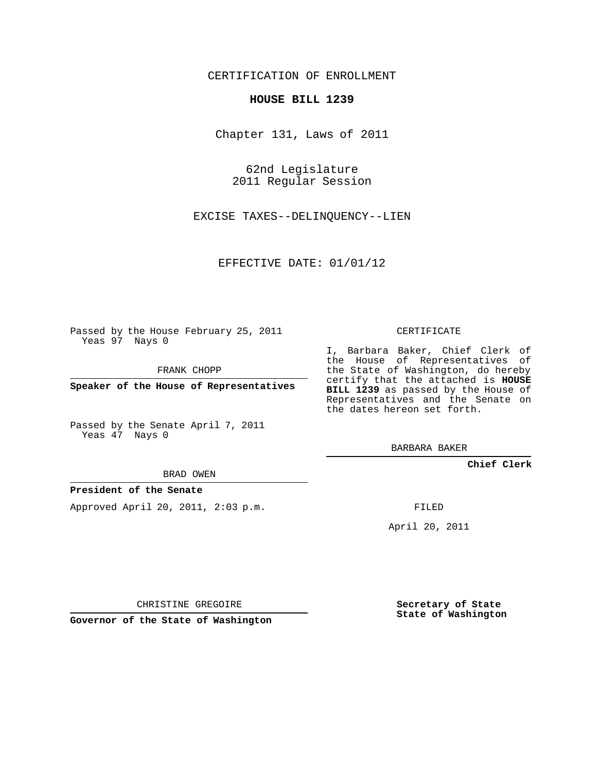CERTIFICATION OF ENROLLMENT

## **HOUSE BILL 1239**

Chapter 131, Laws of 2011

62nd Legislature 2011 Regular Session

EXCISE TAXES--DELINQUENCY--LIEN

EFFECTIVE DATE: 01/01/12

Passed by the House February 25, 2011 Yeas 97 Nays 0

FRANK CHOPP

**Speaker of the House of Representatives**

Passed by the Senate April 7, 2011 Yeas 47 Nays 0

BRAD OWEN

## **President of the Senate**

Approved April 20, 2011, 2:03 p.m.

CERTIFICATE

I, Barbara Baker, Chief Clerk of the House of Representatives of the State of Washington, do hereby certify that the attached is **HOUSE BILL 1239** as passed by the House of Representatives and the Senate on the dates hereon set forth.

BARBARA BAKER

**Chief Clerk**

FILED

April 20, 2011

CHRISTINE GREGOIRE

**Governor of the State of Washington**

**Secretary of State State of Washington**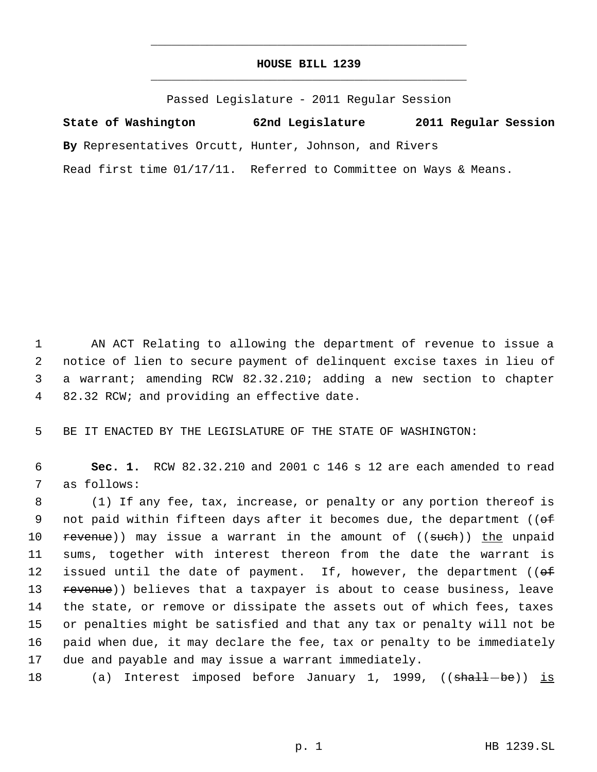## **HOUSE BILL 1239** \_\_\_\_\_\_\_\_\_\_\_\_\_\_\_\_\_\_\_\_\_\_\_\_\_\_\_\_\_\_\_\_\_\_\_\_\_\_\_\_\_\_\_\_\_

\_\_\_\_\_\_\_\_\_\_\_\_\_\_\_\_\_\_\_\_\_\_\_\_\_\_\_\_\_\_\_\_\_\_\_\_\_\_\_\_\_\_\_\_\_

Passed Legislature - 2011 Regular Session

**State of Washington 62nd Legislature 2011 Regular Session By** Representatives Orcutt, Hunter, Johnson, and Rivers Read first time 01/17/11. Referred to Committee on Ways & Means.

 AN ACT Relating to allowing the department of revenue to issue a notice of lien to secure payment of delinquent excise taxes in lieu of a warrant; amending RCW 82.32.210; adding a new section to chapter 82.32 RCW; and providing an effective date.

5 BE IT ENACTED BY THE LEGISLATURE OF THE STATE OF WASHINGTON:

 6 **Sec. 1.** RCW 82.32.210 and 2001 c 146 s 12 are each amended to read 7 as follows:

 8 (1) If any fee, tax, increase, or penalty or any portion thereof is 9 not paid within fifteen days after it becomes due, the department ((of 10 revenue)) may issue a warrant in the amount of ((sueh)) the unpaid 11 sums, together with interest thereon from the date the warrant is 12 issued until the date of payment. If, however, the department (( $\Theta$ f) 13 revenue)) believes that a taxpayer is about to cease business, leave 14 the state, or remove or dissipate the assets out of which fees, taxes 15 or penalties might be satisfied and that any tax or penalty will not be 16 paid when due, it may declare the fee, tax or penalty to be immediately 17 due and payable and may issue a warrant immediately.

18 (a) Interest imposed before January 1, 1999, ((shall-be)) is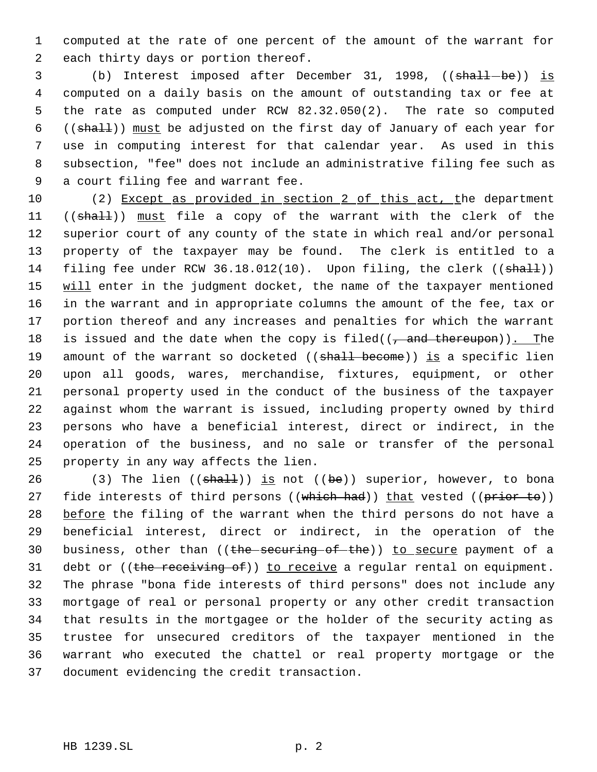computed at the rate of one percent of the amount of the warrant for each thirty days or portion thereof.

3 (b) Interest imposed after December 31, 1998, ((shall-be)) is computed on a daily basis on the amount of outstanding tax or fee at the rate as computed under RCW 82.32.050(2). The rate so computed ((shall)) must be adjusted on the first day of January of each year for use in computing interest for that calendar year. As used in this subsection, "fee" does not include an administrative filing fee such as a court filing fee and warrant fee.

10 (2) Except as provided in section 2 of this act, the department 11 ((shall)) must file a copy of the warrant with the clerk of the superior court of any county of the state in which real and/or personal property of the taxpayer may be found. The clerk is entitled to a 14 filing fee under RCW 36.18.012(10). Upon filing, the clerk ((shall)) 15 will enter in the judgment docket, the name of the taxpayer mentioned in the warrant and in appropriate columns the amount of the fee, tax or portion thereof and any increases and penalties for which the warrant 18 is issued and the date when the copy is filed( $($ , and thereupon)). The 19 amount of the warrant so docketed ((shall become)) is a specific lien upon all goods, wares, merchandise, fixtures, equipment, or other personal property used in the conduct of the business of the taxpayer against whom the warrant is issued, including property owned by third persons who have a beneficial interest, direct or indirect, in the operation of the business, and no sale or transfer of the personal property in any way affects the lien.

26 (3) The lien  $((shall))$  is not  $((be))$  superior, however, to bona 27 fide interests of third persons ((which had)) that vested ((prior to)) 28 before the filing of the warrant when the third persons do not have a beneficial interest, direct or indirect, in the operation of the 30 business, other than ((the securing of the)) to secure payment of a 31 debt or  $((the **receiving of**))$  to receive a regular rental on equipment. The phrase "bona fide interests of third persons" does not include any mortgage of real or personal property or any other credit transaction that results in the mortgagee or the holder of the security acting as trustee for unsecured creditors of the taxpayer mentioned in the warrant who executed the chattel or real property mortgage or the document evidencing the credit transaction.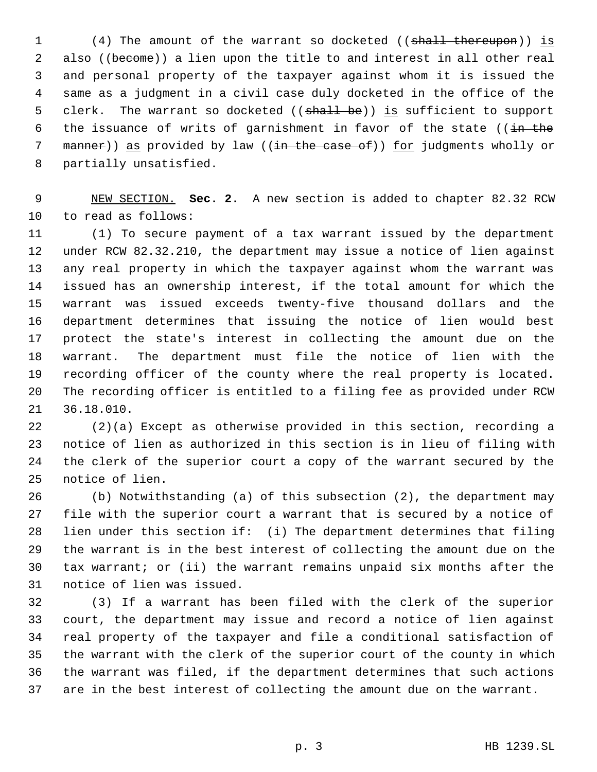1 (4) The amount of the warrant so docketed ((shall thereupon)) is also ((become)) a lien upon the title to and interest in all other real and personal property of the taxpayer against whom it is issued the same as a judgment in a civil case duly docketed in the office of the 5 clerk. The warrant so docketed ((shall be)) is sufficient to support 6 the issuance of writs of garnishment in favor of the state (( $\frac{1}{1}$  the 7 manner)) as provided by law ((in the case of)) for judgments wholly or partially unsatisfied.

 NEW SECTION. **Sec. 2.** A new section is added to chapter 82.32 RCW to read as follows:

 (1) To secure payment of a tax warrant issued by the department under RCW 82.32.210, the department may issue a notice of lien against any real property in which the taxpayer against whom the warrant was issued has an ownership interest, if the total amount for which the warrant was issued exceeds twenty-five thousand dollars and the department determines that issuing the notice of lien would best protect the state's interest in collecting the amount due on the warrant. The department must file the notice of lien with the recording officer of the county where the real property is located. The recording officer is entitled to a filing fee as provided under RCW 36.18.010.

 (2)(a) Except as otherwise provided in this section, recording a notice of lien as authorized in this section is in lieu of filing with the clerk of the superior court a copy of the warrant secured by the notice of lien.

 (b) Notwithstanding (a) of this subsection (2), the department may file with the superior court a warrant that is secured by a notice of lien under this section if: (i) The department determines that filing the warrant is in the best interest of collecting the amount due on the tax warrant; or (ii) the warrant remains unpaid six months after the notice of lien was issued.

 (3) If a warrant has been filed with the clerk of the superior court, the department may issue and record a notice of lien against real property of the taxpayer and file a conditional satisfaction of the warrant with the clerk of the superior court of the county in which the warrant was filed, if the department determines that such actions are in the best interest of collecting the amount due on the warrant.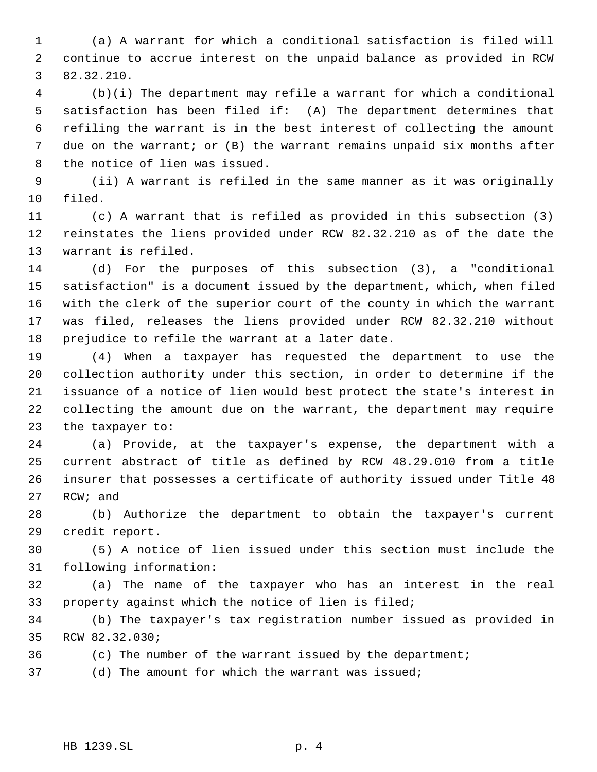(a) A warrant for which a conditional satisfaction is filed will continue to accrue interest on the unpaid balance as provided in RCW 82.32.210.

 (b)(i) The department may refile a warrant for which a conditional satisfaction has been filed if: (A) The department determines that refiling the warrant is in the best interest of collecting the amount due on the warrant; or (B) the warrant remains unpaid six months after the notice of lien was issued.

 (ii) A warrant is refiled in the same manner as it was originally filed.

 (c) A warrant that is refiled as provided in this subsection (3) reinstates the liens provided under RCW 82.32.210 as of the date the warrant is refiled.

 (d) For the purposes of this subsection (3), a "conditional satisfaction" is a document issued by the department, which, when filed with the clerk of the superior court of the county in which the warrant was filed, releases the liens provided under RCW 82.32.210 without prejudice to refile the warrant at a later date.

 (4) When a taxpayer has requested the department to use the collection authority under this section, in order to determine if the issuance of a notice of lien would best protect the state's interest in collecting the amount due on the warrant, the department may require the taxpayer to:

 (a) Provide, at the taxpayer's expense, the department with a current abstract of title as defined by RCW 48.29.010 from a title insurer that possesses a certificate of authority issued under Title 48 RCW; and

 (b) Authorize the department to obtain the taxpayer's current credit report.

 (5) A notice of lien issued under this section must include the following information:

 (a) The name of the taxpayer who has an interest in the real property against which the notice of lien is filed;

 (b) The taxpayer's tax registration number issued as provided in RCW 82.32.030;

(c) The number of the warrant issued by the department;

(d) The amount for which the warrant was issued;